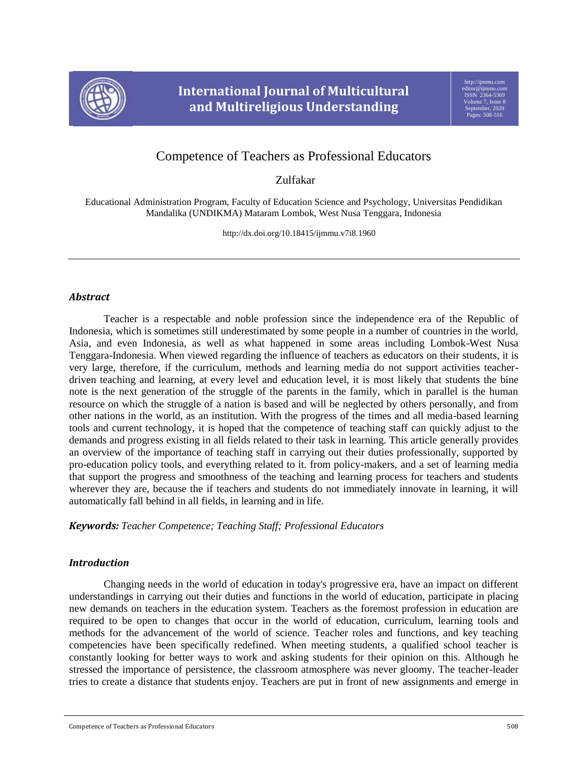

# Competence of Teachers as Professional Educators

Zulfakar

Educational Administration Program, Faculty of Education Science and Psychology, Universitas Pendidikan Mandalika (UNDIKMA) Mataram Lombok, West Nusa Tenggara, Indonesia

http://dx.doi.org/10.18415/ijmmu.v7i8.1960

## *Abstract*

Teacher is a respectable and noble profession since the independence era of the Republic of Indonesia, which is sometimes still underestimated by some people in a number of countries in the world, Asia, and even Indonesia, as well as what happened in some areas including Lombok-West Nusa Tenggara-Indonesia. When viewed regarding the influence of teachers as educators on their students, it is very large, therefore, if the curriculum, methods and learning media do not support activities teacherdriven teaching and learning, at every level and education level, it is most likely that students the bine note is the next generation of the struggle of the parents in the family, which in parallel is the human resource on which the struggle of a nation is based and will be neglected by others personally, and from other nations in the world, as an institution. With the progress of the times and all media-based learning tools and current technology, it is hoped that the competence of teaching staff can quickly adjust to the demands and progress existing in all fields related to their task in learning. This article generally provides an overview of the importance of teaching staff in carrying out their duties professionally, supported by pro-education policy tools, and everything related to it. from policy-makers, and a set of learning media that support the progress and smoothness of the teaching and learning process for teachers and students wherever they are, because the if teachers and students do not immediately innovate in learning, it will automatically fall behind in all fields, in learning and in life.

*Keywords: Teacher Competence; Teaching Staff; Professional Educators*

## *Introduction*

Changing needs in the world of education in today's progressive era, have an impact on different understandings in carrying out their duties and functions in the world of education, participate in placing new demands on teachers in the education system. Teachers as the foremost profession in education are required to be open to changes that occur in the world of education, curriculum, learning tools and methods for the advancement of the world of science. Teacher roles and functions, and key teaching competencies have been specifically redefined. When meeting students, a qualified school teacher is constantly looking for better ways to work and asking students for their opinion on this. Although he stressed the importance of persistence, the classroom atmosphere was never gloomy. The teacher-leader tries to create a distance that students enjoy. Teachers are put in front of new assignments and emerge in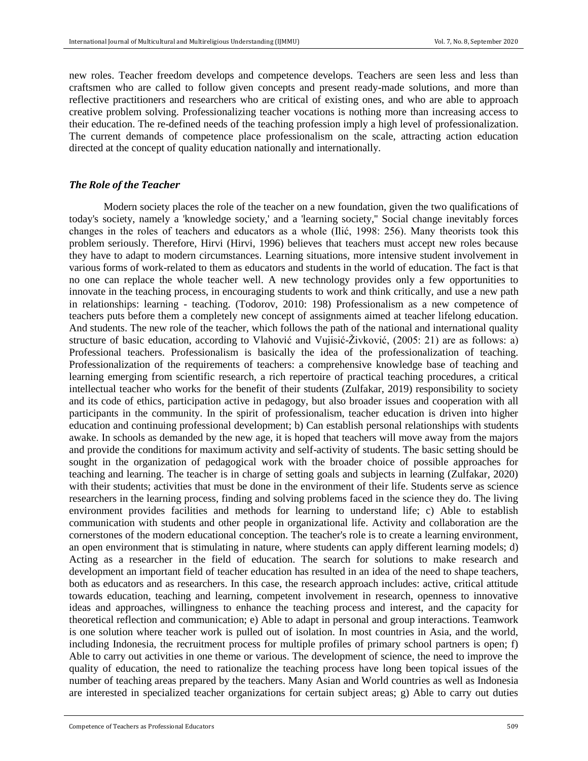new roles. Teacher freedom develops and competence develops. Teachers are seen less and less than craftsmen who are called to follow given concepts and present ready-made solutions, and more than reflective practitioners and researchers who are critical of existing ones, and who are able to approach creative problem solving. Professionalizing teacher vocations is nothing more than increasing access to their education. The re-defined needs of the teaching profession imply a high level of professionalization. The current demands of competence place professionalism on the scale, attracting action education directed at the concept of quality education nationally and internationally.

#### *The Role of the Teacher*

Modern society places the role of the teacher on a new foundation, given the two qualifications of today's society, namely a 'knowledge society,' and a 'learning society,'' Social change inevitably forces changes in the roles of teachers and educators as a whole (Ilić, 1998: 256). Many theorists took this problem seriously. Therefore, Hirvi (Hirvi, 1996) believes that teachers must accept new roles because they have to adapt to modern circumstances. Learning situations, more intensive student involvement in various forms of work-related to them as educators and students in the world of education. The fact is that no one can replace the whole teacher well. A new technology provides only a few opportunities to innovate in the teaching process, in encouraging students to work and think critically, and use a new path in relationships: learning - teaching. (Todorov, 2010: 198) Professionalism as a new competence of teachers puts before them a completely new concept of assignments aimed at teacher lifelong education. And students. The new role of the teacher, which follows the path of the national and international quality structure of basic education, according to Vlahović and Vujisić-Živković, (2005: 21) are as follows: a) Professional teachers. Professionalism is basically the idea of the professionalization of teaching. Professionalization of the requirements of teachers: a comprehensive knowledge base of teaching and learning emerging from scientific research, a rich repertoire of practical teaching procedures, a critical intellectual teacher who works for the benefit of their students (Zulfakar, 2019) responsibility to society and its code of ethics, participation active in pedagogy, but also broader issues and cooperation with all participants in the community. In the spirit of professionalism, teacher education is driven into higher education and continuing professional development; b) Can establish personal relationships with students awake. In schools as demanded by the new age, it is hoped that teachers will move away from the majors and provide the conditions for maximum activity and self-activity of students. The basic setting should be sought in the organization of pedagogical work with the broader choice of possible approaches for teaching and learning. The teacher is in charge of setting goals and subjects in learning (Zulfakar, 2020) with their students; activities that must be done in the environment of their life. Students serve as science researchers in the learning process, finding and solving problems faced in the science they do. The living environment provides facilities and methods for learning to understand life; c) Able to establish communication with students and other people in organizational life. Activity and collaboration are the cornerstones of the modern educational conception. The teacher's role is to create a learning environment, an open environment that is stimulating in nature, where students can apply different learning models; d) Acting as a researcher in the field of education. The search for solutions to make research and development an important field of teacher education has resulted in an idea of the need to shape teachers, both as educators and as researchers. In this case, the research approach includes: active, critical attitude towards education, teaching and learning, competent involvement in research, openness to innovative ideas and approaches, willingness to enhance the teaching process and interest, and the capacity for theoretical reflection and communication; e) Able to adapt in personal and group interactions. Teamwork is one solution where teacher work is pulled out of isolation. In most countries in Asia, and the world, including Indonesia, the recruitment process for multiple profiles of primary school partners is open; f) Able to carry out activities in one theme or various. The development of science, the need to improve the quality of education, the need to rationalize the teaching process have long been topical issues of the number of teaching areas prepared by the teachers. Many Asian and World countries as well as Indonesia are interested in specialized teacher organizations for certain subject areas; g) Able to carry out duties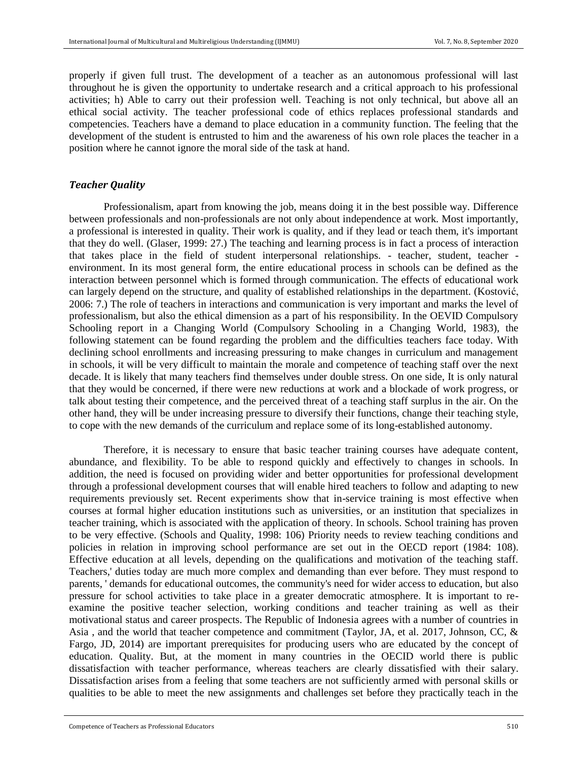properly if given full trust. The development of a teacher as an autonomous professional will last throughout he is given the opportunity to undertake research and a critical approach to his professional activities; h) Able to carry out their profession well. Teaching is not only technical, but above all an ethical social activity. The teacher professional code of ethics replaces professional standards and competencies. Teachers have a demand to place education in a community function. The feeling that the development of the student is entrusted to him and the awareness of his own role places the teacher in a position where he cannot ignore the moral side of the task at hand.

### *Teacher Quality*

Professionalism, apart from knowing the job, means doing it in the best possible way. Difference between professionals and non-professionals are not only about independence at work. Most importantly, a professional is interested in quality. Their work is quality, and if they lead or teach them, it's important that they do well. (Glaser, 1999: 27.) The teaching and learning process is in fact a process of interaction that takes place in the field of student interpersonal relationships. - teacher, student, teacher environment. In its most general form, the entire educational process in schools can be defined as the interaction between personnel which is formed through communication. The effects of educational work can largely depend on the structure, and quality of established relationships in the department. (Kostović, 2006: 7.) The role of teachers in interactions and communication is very important and marks the level of professionalism, but also the ethical dimension as a part of his responsibility. In the OEVID Compulsory Schooling report in a Changing World (Compulsory Schooling in a Changing World, 1983), the following statement can be found regarding the problem and the difficulties teachers face today. With declining school enrollments and increasing pressuring to make changes in curriculum and management in schools, it will be very difficult to maintain the morale and competence of teaching staff over the next decade. It is likely that many teachers find themselves under double stress. On one side, It is only natural that they would be concerned, if there were new reductions at work and a blockade of work progress, or talk about testing their competence, and the perceived threat of a teaching staff surplus in the air. On the other hand, they will be under increasing pressure to diversify their functions, change their teaching style, to cope with the new demands of the curriculum and replace some of its long-established autonomy.

Therefore, it is necessary to ensure that basic teacher training courses have adequate content, abundance, and flexibility. To be able to respond quickly and effectively to changes in schools. In addition, the need is focused on providing wider and better opportunities for professional development through a professional development courses that will enable hired teachers to follow and adapting to new requirements previously set. Recent experiments show that in-service training is most effective when courses at formal higher education institutions such as universities, or an institution that specializes in teacher training, which is associated with the application of theory. In schools. School training has proven to be very effective. (Schools and Quality, 1998: 106) Priority needs to review teaching conditions and policies in relation in improving school performance are set out in the OECD report (1984: 108). Effective education at all levels, depending on the qualifications and motivation of the teaching staff. Teachers,' duties today are much more complex and demanding than ever before. They must respond to parents, ' demands for educational outcomes, the community's need for wider access to education, but also pressure for school activities to take place in a greater democratic atmosphere. It is important to reexamine the positive teacher selection, working conditions and teacher training as well as their motivational status and career prospects. The Republic of Indonesia agrees with a number of countries in Asia , and the world that teacher competence and commitment (Taylor, JA, et al. 2017, Johnson, CC, & Fargo, JD, 2014) are important prerequisites for producing users who are educated by the concept of education. Quality. But, at the moment in many countries in the OECID world there is public dissatisfaction with teacher performance, whereas teachers are clearly dissatisfied with their salary. Dissatisfaction arises from a feeling that some teachers are not sufficiently armed with personal skills or qualities to be able to meet the new assignments and challenges set before they practically teach in the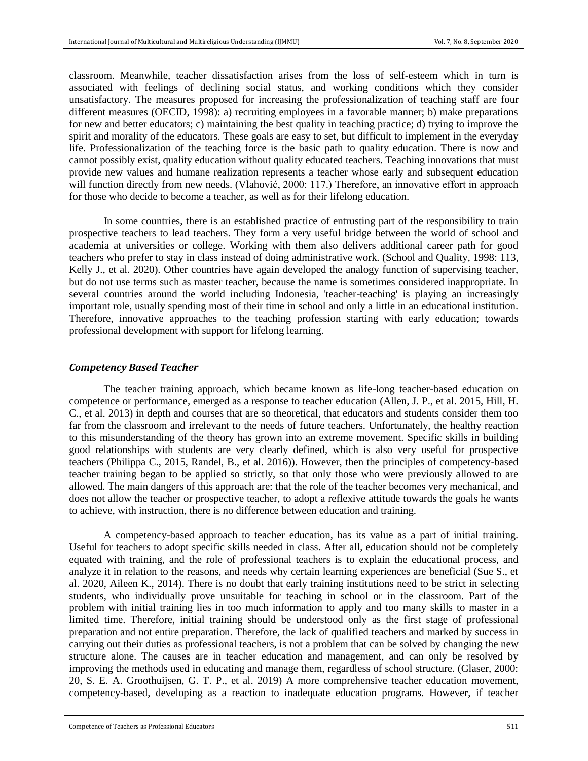classroom. Meanwhile, teacher dissatisfaction arises from the loss of self-esteem which in turn is associated with feelings of declining social status, and working conditions which they consider unsatisfactory. The measures proposed for increasing the professionalization of teaching staff are four different measures (OECID, 1998): a) recruiting employees in a favorable manner; b) make preparations for new and better educators; c) maintaining the best quality in teaching practice; d) trying to improve the spirit and morality of the educators. These goals are easy to set, but difficult to implement in the everyday life. Professionalization of the teaching force is the basic path to quality education. There is now and cannot possibly exist, quality education without quality educated teachers. Teaching innovations that must provide new values and humane realization represents a teacher whose early and subsequent education will function directly from new needs. (Vlahović, 2000: 117.) Therefore, an innovative effort in approach for those who decide to become a teacher, as well as for their lifelong education.

In some countries, there is an established practice of entrusting part of the responsibility to train prospective teachers to lead teachers. They form a very useful bridge between the world of school and academia at universities or college. Working with them also delivers additional career path for good teachers who prefer to stay in class instead of doing administrative work. (School and Quality, 1998: 113, Kelly J., et al. 2020). Other countries have again developed the analogy function of supervising teacher, but do not use terms such as master teacher, because the name is sometimes considered inappropriate. In several countries around the world including Indonesia, 'teacher-teaching' is playing an increasingly important role, usually spending most of their time in school and only a little in an educational institution. Therefore, innovative approaches to the teaching profession starting with early education; towards professional development with support for lifelong learning.

#### *Competency Based Teacher*

The teacher training approach, which became known as life-long teacher-based education on competence or performance, emerged as a response to teacher education (Allen, J. P., et al. 2015, Hill, H. C., et al. 2013) in depth and courses that are so theoretical, that educators and students consider them too far from the classroom and irrelevant to the needs of future teachers. Unfortunately, the healthy reaction to this misunderstanding of the theory has grown into an extreme movement. Specific skills in building good relationships with students are very clearly defined, which is also very useful for prospective teachers (Philippa C., 2015, Randel, B., et al. 2016)). However, then the principles of competency-based teacher training began to be applied so strictly, so that only those who were previously allowed to are allowed. The main dangers of this approach are: that the role of the teacher becomes very mechanical, and does not allow the teacher or prospective teacher, to adopt a reflexive attitude towards the goals he wants to achieve, with instruction, there is no difference between education and training.

A competency-based approach to teacher education, has its value as a part of initial training. Useful for teachers to adopt specific skills needed in class. After all, education should not be completely equated with training, and the role of professional teachers is to explain the educational process, and analyze it in relation to the reasons, and needs why certain learning experiences are beneficial (Sue S., et al. 2020, Aileen K., 2014). There is no doubt that early training institutions need to be strict in selecting students, who individually prove unsuitable for teaching in school or in the classroom. Part of the problem with initial training lies in too much information to apply and too many skills to master in a limited time. Therefore, initial training should be understood only as the first stage of professional preparation and not entire preparation. Therefore, the lack of qualified teachers and marked by success in carrying out their duties as professional teachers, is not a problem that can be solved by changing the new structure alone. The causes are in teacher education and management, and can only be resolved by improving the methods used in educating and manage them, regardless of school structure. (Glaser, 2000: 20, S. E. A. Groothuijsen, G. T. P., et al. 2019) A more comprehensive teacher education movement, competency-based, developing as a reaction to inadequate education programs. However, if teacher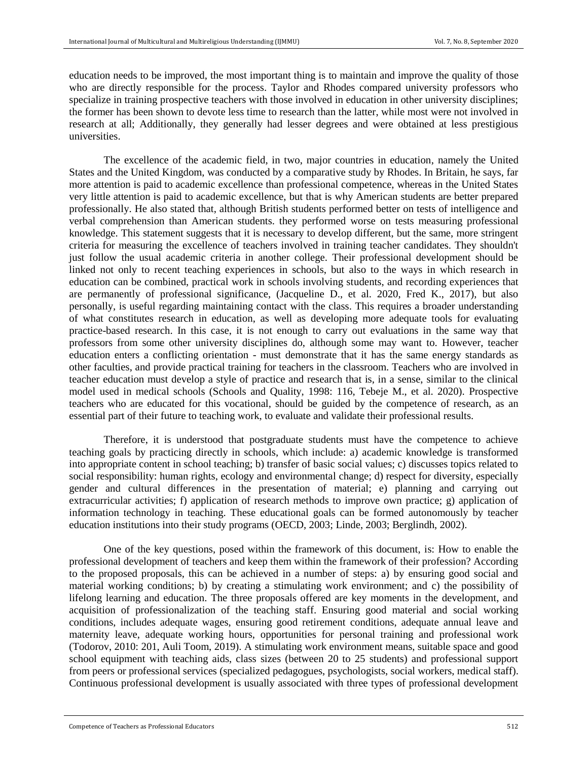education needs to be improved, the most important thing is to maintain and improve the quality of those who are directly responsible for the process. Taylor and Rhodes compared university professors who specialize in training prospective teachers with those involved in education in other university disciplines; the former has been shown to devote less time to research than the latter, while most were not involved in research at all; Additionally, they generally had lesser degrees and were obtained at less prestigious universities.

The excellence of the academic field, in two, major countries in education, namely the United States and the United Kingdom, was conducted by a comparative study by Rhodes. In Britain, he says, far more attention is paid to academic excellence than professional competence, whereas in the United States very little attention is paid to academic excellence, but that is why American students are better prepared professionally. He also stated that, although British students performed better on tests of intelligence and verbal comprehension than American students. they performed worse on tests measuring professional knowledge. This statement suggests that it is necessary to develop different, but the same, more stringent criteria for measuring the excellence of teachers involved in training teacher candidates. They shouldn't just follow the usual academic criteria in another college. Their professional development should be linked not only to recent teaching experiences in schools, but also to the ways in which research in education can be combined, practical work in schools involving students, and recording experiences that are permanently of professional significance, (Jacqueline D., et al. 2020, Fred K., 2017), but also personally, is useful regarding maintaining contact with the class. This requires a broader understanding of what constitutes research in education, as well as developing more adequate tools for evaluating practice-based research. In this case, it is not enough to carry out evaluations in the same way that professors from some other university disciplines do, although some may want to. However, teacher education enters a conflicting orientation - must demonstrate that it has the same energy standards as other faculties, and provide practical training for teachers in the classroom. Teachers who are involved in teacher education must develop a style of practice and research that is, in a sense, similar to the clinical model used in medical schools (Schools and Quality, 1998: 116, Tebeje M., et al. 2020). Prospective teachers who are educated for this vocational, should be guided by the competence of research, as an essential part of their future to teaching work, to evaluate and validate their professional results.

Therefore, it is understood that postgraduate students must have the competence to achieve teaching goals by practicing directly in schools, which include: a) academic knowledge is transformed into appropriate content in school teaching; b) transfer of basic social values; c) discusses topics related to social responsibility: human rights, ecology and environmental change; d) respect for diversity, especially gender and cultural differences in the presentation of material; e) planning and carrying out extracurricular activities; f) application of research methods to improve own practice; g) application of information technology in teaching. These educational goals can be formed autonomously by teacher education institutions into their study programs (OECD, 2003; Linde, 2003; Berglindh, 2002).

One of the key questions, posed within the framework of this document, is: How to enable the professional development of teachers and keep them within the framework of their profession? According to the proposed proposals, this can be achieved in a number of steps: a) by ensuring good social and material working conditions; b) by creating a stimulating work environment; and c) the possibility of lifelong learning and education. The three proposals offered are key moments in the development, and acquisition of professionalization of the teaching staff. Ensuring good material and social working conditions, includes adequate wages, ensuring good retirement conditions, adequate annual leave and maternity leave, adequate working hours, opportunities for personal training and professional work (Todorov, 2010: 201, Auli Toom, 2019). A stimulating work environment means, suitable space and good school equipment with teaching aids, class sizes (between 20 to 25 students) and professional support from peers or professional services (specialized pedagogues, psychologists, social workers, medical staff). Continuous professional development is usually associated with three types of professional development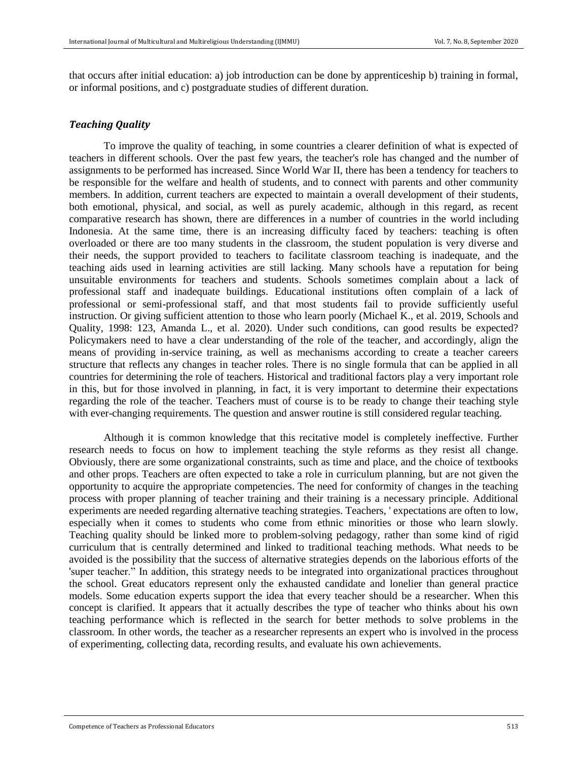that occurs after initial education: a) job introduction can be done by apprenticeship b) training in formal, or informal positions, and c) postgraduate studies of different duration.

#### *Teaching Quality*

To improve the quality of teaching, in some countries a clearer definition of what is expected of teachers in different schools. Over the past few years, the teacher's role has changed and the number of assignments to be performed has increased. Since World War II, there has been a tendency for teachers to be responsible for the welfare and health of students, and to connect with parents and other community members. In addition, current teachers are expected to maintain a overall development of their students, both emotional, physical, and social, as well as purely academic, although in this regard, as recent comparative research has shown, there are differences in a number of countries in the world including Indonesia. At the same time, there is an increasing difficulty faced by teachers: teaching is often overloaded or there are too many students in the classroom, the student population is very diverse and their needs, the support provided to teachers to facilitate classroom teaching is inadequate, and the teaching aids used in learning activities are still lacking. Many schools have a reputation for being unsuitable environments for teachers and students. Schools sometimes complain about a lack of professional staff and inadequate buildings. Educational institutions often complain of a lack of professional or semi-professional staff, and that most students fail to provide sufficiently useful instruction. Or giving sufficient attention to those who learn poorly (Michael K., et al. 2019, Schools and Quality, 1998: 123, Amanda L., et al. 2020). Under such conditions, can good results be expected? Policymakers need to have a clear understanding of the role of the teacher, and accordingly, align the means of providing in-service training, as well as mechanisms according to create a teacher careers structure that reflects any changes in teacher roles. There is no single formula that can be applied in all countries for determining the role of teachers. Historical and traditional factors play a very important role in this, but for those involved in planning, in fact, it is very important to determine their expectations regarding the role of the teacher. Teachers must of course is to be ready to change their teaching style with ever-changing requirements. The question and answer routine is still considered regular teaching.

Although it is common knowledge that this recitative model is completely ineffective. Further research needs to focus on how to implement teaching the style reforms as they resist all change. Obviously, there are some organizational constraints, such as time and place, and the choice of textbooks and other props. Teachers are often expected to take a role in curriculum planning, but are not given the opportunity to acquire the appropriate competencies. The need for conformity of changes in the teaching process with proper planning of teacher training and their training is a necessary principle. Additional experiments are needed regarding alternative teaching strategies. Teachers, ' expectations are often to low, especially when it comes to students who come from ethnic minorities or those who learn slowly. Teaching quality should be linked more to problem-solving pedagogy, rather than some kind of rigid curriculum that is centrally determined and linked to traditional teaching methods. What needs to be avoided is the possibility that the success of alternative strategies depends on the laborious efforts of the 'super teacher." In addition, this strategy needs to be integrated into organizational practices throughout the school. Great educators represent only the exhausted candidate and lonelier than general practice models. Some education experts support the idea that every teacher should be a researcher. When this concept is clarified. It appears that it actually describes the type of teacher who thinks about his own teaching performance which is reflected in the search for better methods to solve problems in the classroom. In other words, the teacher as a researcher represents an expert who is involved in the process of experimenting, collecting data, recording results, and evaluate his own achievements.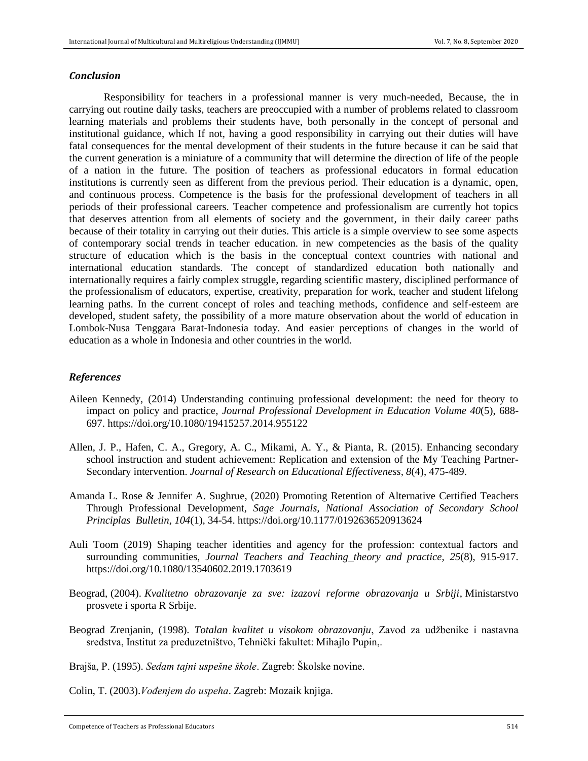#### *Conclusion*

Responsibility for teachers in a professional manner is very much-needed, Because, the in carrying out routine daily tasks, teachers are preoccupied with a number of problems related to classroom learning materials and problems their students have, both personally in the concept of personal and institutional guidance, which If not, having a good responsibility in carrying out their duties will have fatal consequences for the mental development of their students in the future because it can be said that the current generation is a miniature of a community that will determine the direction of life of the people of a nation in the future. The position of teachers as professional educators in formal education institutions is currently seen as different from the previous period. Their education is a dynamic, open, and continuous process. Competence is the basis for the professional development of teachers in all periods of their professional careers. Teacher competence and professionalism are currently hot topics that deserves attention from all elements of society and the government, in their daily career paths because of their totality in carrying out their duties. This article is a simple overview to see some aspects of contemporary social trends in teacher education. in new competencies as the basis of the quality structure of education which is the basis in the conceptual context countries with national and international education standards. The concept of standardized education both nationally and internationally requires a fairly complex struggle, regarding scientific mastery, disciplined performance of the professionalism of educators, expertise, creativity, preparation for work, teacher and student lifelong learning paths. In the current concept of roles and teaching methods, confidence and self-esteem are developed, student safety, the possibility of a more mature observation about the world of education in Lombok-Nusa Tenggara Barat-Indonesia today. And easier perceptions of changes in the world of education as a whole in Indonesia and other countries in the world.

### *References*

- [Aileen Kennedy,](https://www.tandfonline.com/author/Kennedy%2C+Aileen) (2014) Understanding continuing professional development: the need for theory to impact on policy and practice, *Journal [Professional Development in Education V](https://www.tandfonline.com/toc/rjie20/current)olume 40*(5), 688- 697.<https://doi.org/10.1080/19415257.2014.955122>
- Allen, J. P., Hafen, C. A., Gregory, A. C., Mikami, A. Y., & Pianta, R. (2015). Enhancing secondary school instruction and student achievement: Replication and extension of the My Teaching Partner-Secondary intervention. *Journal of Research on Educational Effectiveness, 8*(4), 475-489.
- Amanda L. Rose & Jennifer A. Sughrue, (2020) Promoting Retention of Alternative Certified Teachers Through Professional Development, *Sage Journals, National Association of Secondary School Principlas Bulletin, 104*(1), 34-54. [https://doi.org/10.1177/0192636520913624](https://doi.org/10.1177%2F0192636520913624)
- Auli Toom (2019) Shaping teacher identities and agency for the profession: contextual factors and surrounding communities, *Journal [Teachers and Teaching](https://www.tandfonline.com/toc/ctat20/current) theory and practice, 25*(8), 915-917. <https://doi.org/10.1080/13540602.2019.1703619>
- Beograd, (2004). *Kvalitetno obrazovanje za sve: izazovi reforme obrazovanja u Srbiji*, Ministarstvo prosvete i sporta R Srbije.
- Beograd Zrenjanin, (1998). *Totalan kvalitet u visokom obrazovanju*, Zavod za udžbenike i nastavna sredstva, Institut za preduzetništvo, Tehnički fakultet: Mihajlo Pupin,.

Brajša, P. (1995). *Sedam tajni uspešne škole*. Zagreb: Školske novine.

Colin, T. (2003).*Vođenjem do uspeha*. Zagreb: Mozaik knjiga.

Competence of Teachers as Professional Educators 514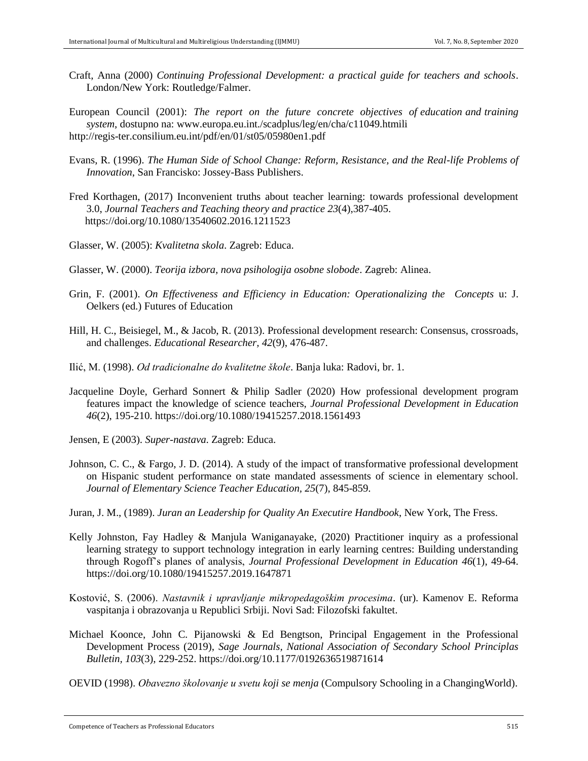Craft, Anna (2000) *Continuing Professional Development: a practical guide for teachers and schools*. London/New York: Routledge/Falmer.

European Council (2001): *The report on the future concrete objectives of education and training system*, dostupno na: www.europa.eu.int./scadplus/leg/en/cha/c11049.htmili <http://regis-ter.consilium.eu.int/pdf/en/01/st05/05980en1.pdf>

- Evans, R. (1996). *The Human Side of School Change: Reform, Resistance, and the Real-life Problems of Innovation*, San Francisko: Jossey-Bass Publishers.
- [Fred Korthagen,](https://www.tandfonline.com/author/Korthagen%2C+Fred) (2017) Inconvenient truths about teacher learning: towards professional development 3.0, *Journal [Teachers and Teaching t](https://www.tandfonline.com/toc/ctat20/current)heory and practice 23*(4),387-405. <https://doi.org/10.1080/13540602.2016.1211523>

Glasser, W. (2005): *Kvalitetna skola*. Zagreb: Educa.

- Glasser, W. (2000). *Teorija izbora, nova psihologija osobne slobode*. Zagreb: Alinea.
- Grin, F. (2001). *On Effectiveness and Efficiency in Education: Operationalizing the Concepts* u: J. Oelkers (ed.) Futures of Education
- Hill, H. C., Beisiegel, M., & Jacob, R. (2013). Professional development research: Consensus, crossroads, and challenges. *Educational Researcher, 42*(9), 476-487.
- Ilić, M. (1998). *Od tradicionalne do kvalitetne škole*. Banja luka: Radovi, br. 1.
- [Jacqueline Doyle,](https://www.tandfonline.com/author/Doyle%2C+Jacqueline) [Gerhard Sonnert](https://www.tandfonline.com/author/Sonnert%2C+Gerhard) & [Philip Sadler](https://www.tandfonline.com/author/Sadler%2C+Philip) (2020) How professional development program features impact the knowledge of science teachers, *Journal [Professional Development in Education](https://www.tandfonline.com/toc/rjie20/current)  46*(2), 195-210.<https://doi.org/10.1080/19415257.2018.1561493>

Jensen, E (2003). *Super-nastava*. Zagreb: Educa.

- Johnson, C. C., & Fargo, J. D. (2014). A study of the impact of transformative professional development on Hispanic student performance on state mandated assessments of science in elementary school. *Journal of Elementary Science Teacher Education, 25*(7), 845-859.
- Juran, J. M., (1989). *Juran an Leadership for Quality An Executire Handbook*, New York, The Fress.
- [Kelly Johnston,](https://www.tandfonline.com/author/Johnston%2C+Kelly) [Fay Hadley](https://www.tandfonline.com/author/Hadley%2C+Fay) & [Manjula Waniganayake,](https://www.tandfonline.com/author/Waniganayake%2C+Manjula) (2020) Practitioner inquiry as a professional learning strategy to support technology integration in early learning centres: Building understanding through Rogoff's planes of analysis, *Journal [Professional Development in Education 4](https://www.tandfonline.com/toc/rjie20/current)6*(1), 49-64. <https://doi.org/10.1080/19415257.2019.1647871>
- Kostović, S. (2006). *Nastavnik i upravljanje mikropedagoškim procesima*. (ur). Kamenov E. Reforma vaspitanja i obrazovanja u Republici Srbiji. Novi Sad: Filozofski fakultet.
- [Michael Koonce,](https://journals.sagepub.com/doi/full/10.1177/0192636519871614) [John C. Pijanowski](https://journals.sagepub.com/doi/full/10.1177/0192636519871614) & [Ed Bengtson,](https://journals.sagepub.com/doi/full/10.1177/0192636519871614) Principal Engagement in the Professional Development Process (2019), *Sage Journals, National Association of Secondary School Principlas Bulletin, 103*(3), 229-252. [https://doi.org/10.1177/0192636519871614](https://doi.org/10.1177%2F0192636519871614)
- OEVID (1998). *Obavezno školovanje u svetu koji se menja* (Compulsory Schooling in a ChangingWorld).

Competence of Teachers as Professional Educators 515